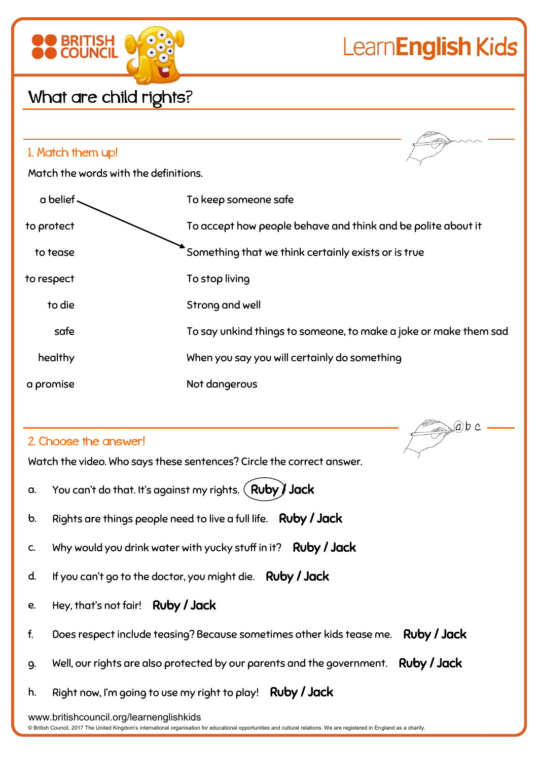

 $(a)b c$ 

## What are child rights?

**BRITISH** 

| 1. Match them up!                     |                                                                  |
|---------------------------------------|------------------------------------------------------------------|
| Match the words with the definitions. |                                                                  |
| a belief                              | To keep someone safe                                             |
| to protect                            | To accept how people behave and think and be polite about it     |
| to tease                              | Something that we think certainly exists or is true              |
| to respect                            | To stop living                                                   |
| to die                                | Strong and well                                                  |
| safe                                  | To say unkind things to someone, to make a joke or make them sad |
| healthy                               | When you say you will certainly do something                     |
| a promise                             | Not dangerous                                                    |

## 2. Choose the answer!

Watch the video. Who says these sentences? Circle the correct answer.

- a. You can't do that. It's against my rights.  $($  Ruby  $)$  Jack
- b. Rights are things people need to live a full life. Ruby / Jack
- c. Why would you drink water with yucky stuff in it? Ruby / Jack
- d. If you can't go to the doctor, you might die. Ruby / Jack
- e. Hey, that's not fair! Ruby / Jack
- f. Does respect include teasing? Because sometimes other kids tease me. Ruby / Jack
- g. Well, our rights are also protected by our parents and the government. Ruby / Jack
- h. Right now, I'm going to use my right to play! Ruby / Jack

www.britishcouncil.org/learnenglishkids

© British Council, 2017 The United Kingdom's international organisation for educational opportunities and cultural relations. We are registered in England as a charity.